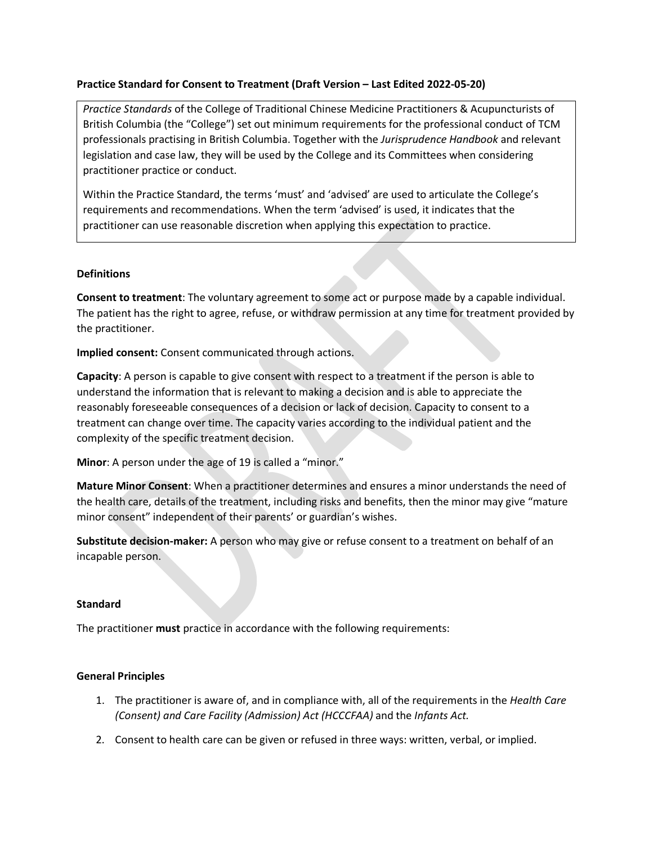## **Practice Standard for Consent to Treatment (Draft Version – Last Edited 2022-05-20)**

*Practice Standards* of the College of Traditional Chinese Medicine Practitioners & Acupuncturists of British Columbia (the "College") set out minimum requirements for the professional conduct of TCM professionals practising in British Columbia. Together with the *Jurisprudence Handbook* and relevant legislation and case law, they will be used by the College and its Committees when considering practitioner practice or conduct.

Within the Practice Standard, the terms 'must' and 'advised' are used to articulate the College's requirements and recommendations. When the term 'advised' is used, it indicates that the practitioner can use reasonable discretion when applying this expectation to practice.

## **Definitions**

**Consent to treatment**: The voluntary agreement to some act or purpose made by a capable individual. The patient has the right to agree, refuse, or withdraw permission at any time for treatment provided by the practitioner.

**Implied consent:** Consent communicated through actions.

**Capacity**: A person is capable to give consent with respect to a treatment if the person is able to understand the information that is relevant to making a decision and is able to appreciate the reasonably foreseeable consequences of a decision or lack of decision. Capacity to consent to a treatment can change over time. The capacity varies according to the individual patient and the complexity of the specific treatment decision.

**Minor**: A person under the age of 19 is called a "minor."

**Mature Minor Consent**: When a practitioner determines and ensures a minor understands the need of the health care, details of the treatment, including risks and benefits, then the minor may give "mature minor consent" independent of their parents' or guardian's wishes.

**Substitute decision-maker:** A person who may give or refuse consent to a treatment on behalf of an incapable person.

# **Standard**

The practitioner **must** practice in accordance with the following requirements:

# **General Principles**

- 1. The practitioner is aware of, and in compliance with, all of the requirements in the *Health Care (Consent) and Care Facility (Admission) Act (HCCCFAA)* and the *Infants Act.*
- 2. Consent to health care can be given or refused in three ways: written, verbal, or implied.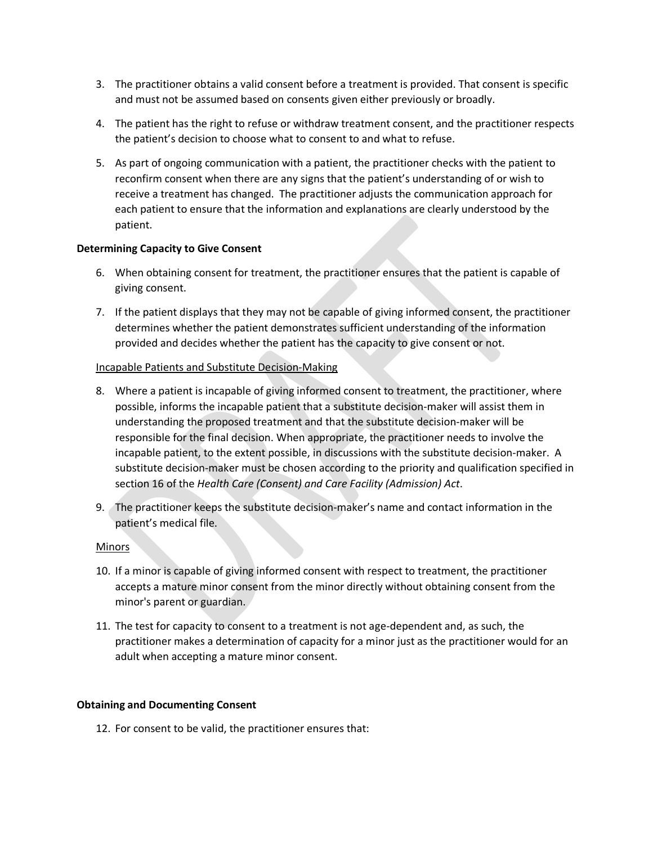- 3. The practitioner obtains a valid consent before a treatment is provided. That consent is specific and must not be assumed based on consents given either previously or broadly.
- 4. The patient has the right to refuse or withdraw treatment consent, and the practitioner respects the patient's decision to choose what to consent to and what to refuse.
- 5. As part of ongoing communication with a patient, the practitioner checks with the patient to reconfirm consent when there are any signs that the patient's understanding of or wish to receive a treatment has changed. The practitioner adjusts the communication approach for each patient to ensure that the information and explanations are clearly understood by the patient.

#### **Determining Capacity to Give Consent**

- 6. When obtaining consent for treatment, the practitioner ensures that the patient is capable of giving consent.
- 7. If the patient displays that they may not be capable of giving informed consent, the practitioner determines whether the patient demonstrates sufficient understanding of the information provided and decides whether the patient has the capacity to give consent or not.

## Incapable Patients and Substitute Decision-Making

- 8. Where a patient is incapable of giving informed consent to treatment, the practitioner, where possible, informs the incapable patient that a substitute decision-maker will assist them in understanding the proposed treatment and that the substitute decision-maker will be responsible for the final decision. When appropriate, the practitioner needs to involve the incapable patient, to the extent possible, in discussions with the substitute decision-maker. A substitute decision-maker must be chosen according to the priority and qualification specified in section 16 of the *Health Care (Consent) and Care Facility (Admission) Act*.
- 9. The practitioner keeps the substitute decision-maker's name and contact information in the patient's medical file.

#### Minors

- 10. If a minor is capable of giving informed consent with respect to treatment, the practitioner accepts a mature minor consent from the minor directly without obtaining consent from the minor's parent or guardian.
- 11. The test for capacity to consent to a treatment is not age-dependent and, as such, the practitioner makes a determination of capacity for a minor just as the practitioner would for an adult when accepting a mature minor consent.

#### **Obtaining and Documenting Consent**

12. For consent to be valid, the practitioner ensures that: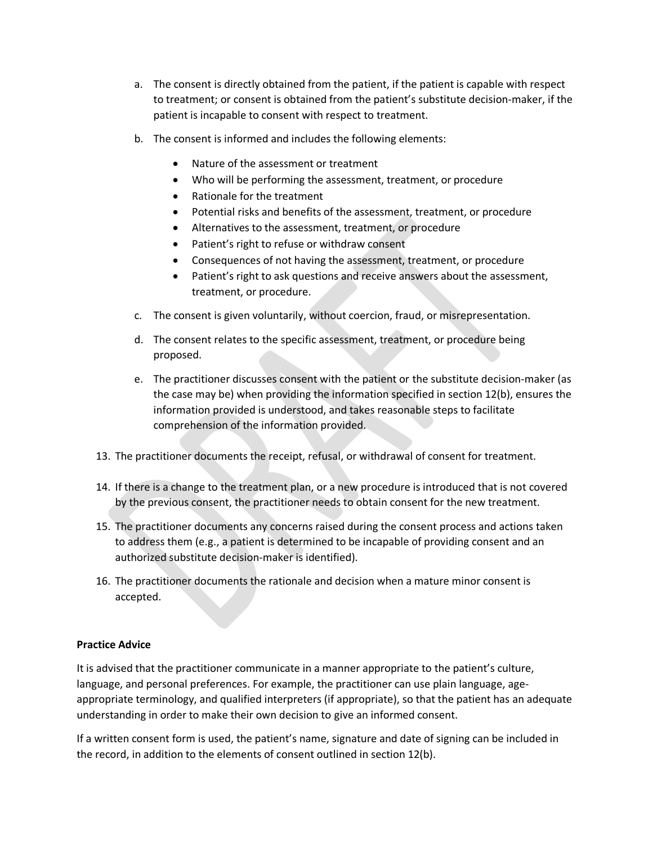- a. The consent is directly obtained from the patient, if the patient is capable with respect to treatment; or consent is obtained from the patient's substitute decision-maker, if the patient is incapable to consent with respect to treatment.
- b. The consent is informed and includes the following elements:
	- Nature of the assessment or treatment
	- Who will be performing the assessment, treatment, or procedure
	- Rationale for the treatment
	- Potential risks and benefits of the assessment, treatment, or procedure
	- Alternatives to the assessment, treatment, or procedure
	- Patient's right to refuse or withdraw consent
	- Consequences of not having the assessment, treatment, or procedure
	- Patient's right to ask questions and receive answers about the assessment, treatment, or procedure.
- c. The consent is given voluntarily, without coercion, fraud, or misrepresentation.
- d. The consent relates to the specific assessment, treatment, or procedure being proposed.
- e. The practitioner discusses consent with the patient or the substitute decision-maker (as the case may be) when providing the information specified in section 12(b), ensures the information provided is understood, and takes reasonable steps to facilitate comprehension of the information provided.
- 13. The practitioner documents the receipt, refusal, or withdrawal of consent for treatment.
- 14. If there is a change to the treatment plan, or a new procedure is introduced that is not covered by the previous consent, the practitioner needs to obtain consent for the new treatment.
- 15. The practitioner documents any concerns raised during the consent process and actions taken to address them (e.g., a patient is determined to be incapable of providing consent and an authorized substitute decision-maker is identified).
- 16. The practitioner documents the rationale and decision when a mature minor consent is accepted.

#### **Practice Advice**

It is advised that the practitioner communicate in a manner appropriate to the patient's culture, language, and personal preferences. For example, the practitioner can use plain language, ageappropriate terminology, and qualified interpreters (if appropriate), so that the patient has an adequate understanding in order to make their own decision to give an informed consent.

If a written consent form is used, the patient's name, signature and date of signing can be included in the record, in addition to the elements of consent outlined in section 12(b).